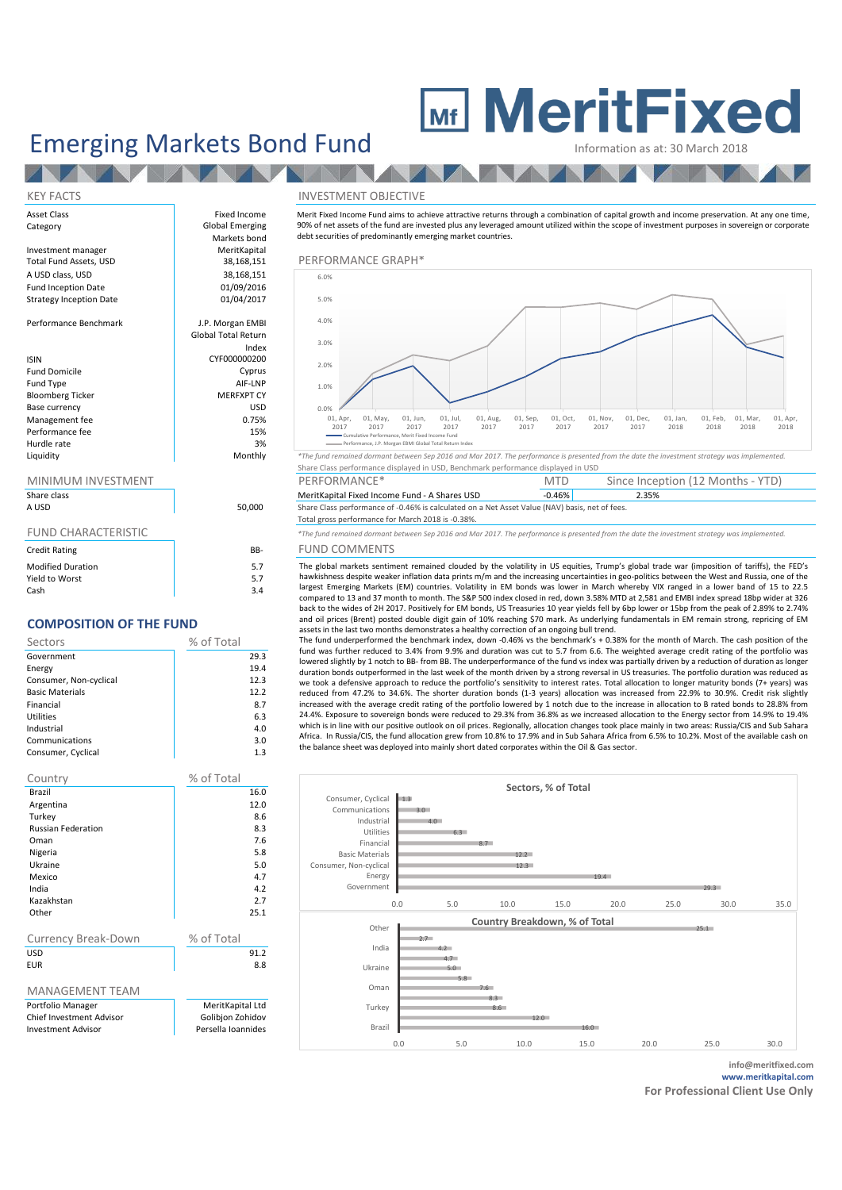# **MeritFixed**

## Emerging Markets Bond Fund

| Asset Class<br>Category        | Fixed Income<br>Global Emerging | Merit Fixed Incom<br>90% of net assets |
|--------------------------------|---------------------------------|----------------------------------------|
|                                | Markets bond                    | debt securities of                     |
| Investment manager             | MeritKapital                    |                                        |
| Total Fund Assets, USD         | 38,168,151                      | PERFORMAI                              |
| A USD class, USD               | 38,168,151                      | 6.0%                                   |
| <b>Fund Inception Date</b>     | 01/09/2016                      |                                        |
| <b>Strategy Inception Date</b> | 01/04/2017                      | 5.0%                                   |
|                                |                                 |                                        |
| Performance Benchmark          | J.P. Morgan EMBI                | 4.0%                                   |
|                                | <b>Global Total Return</b>      |                                        |
|                                | Index                           | 3.0%                                   |
| <b>ISIN</b>                    | CYF000000200                    | 2.0%                                   |
| <b>Fund Domicile</b>           | Cyprus                          |                                        |
| Fund Type                      | AIF-LNP                         | 1.0%                                   |
| <b>Bloomberg Ticker</b>        | <b>MERFXPT CY</b>               |                                        |
| Base currency                  | <b>USD</b>                      | 0.0%                                   |
| Management fee                 | 0.75%                           | 01, Apr,<br>2017                       |
| Performance fee                | 15%                             | Cumula                                 |
| Hurdle rate                    | 3%                              | - Perform                              |

**TANK** 

#### MINIMUM INVESTMENT

| Share class<br>A USD       | 50,000 |
|----------------------------|--------|
| <b>FUND CHARACTERISTIC</b> |        |
| <b>Credit Rating</b>       | BB-    |
| <b>Modified Duration</b>   | 5.7    |
| Yield to Worst             | 57     |

 $\begin{array}{|c|c|c|c|c|}\n\hline\n\text{Cash} & \text{3.4}\n\end{array}$ 

### **COMPOSITION OF THE FUND**

| Sectors                | % of Total |
|------------------------|------------|
| Government             | 29.3       |
| Energy                 | 19.4       |
| Consumer, Non-cyclical | 12.3       |
| <b>Basic Materials</b> | 12.2       |
| Financial              | 8.7        |
| <b>Utilities</b>       | 6.3        |
| Industrial             | 4.0        |
| Communications         | 3.0        |
| Consumer, Cyclical     | 1.3        |

| Country                                                                    | % of Total                                                 |
|----------------------------------------------------------------------------|------------------------------------------------------------|
| Brazil                                                                     | 16.0                                                       |
| Argentina                                                                  | 12.0                                                       |
| Turkey                                                                     | 8.6                                                        |
| <b>Russian Federation</b>                                                  | 8.3                                                        |
| Oman                                                                       | 7.6                                                        |
| Nigeria                                                                    | 5.8                                                        |
| Ukraine                                                                    | 5.0                                                        |
| Mexico                                                                     | 4.7                                                        |
| India                                                                      | 4.2                                                        |
| Kazakhstan                                                                 | 2.7                                                        |
| Other                                                                      | 25.1                                                       |
|                                                                            |                                                            |
| Currency Break-Down                                                        | % of Total                                                 |
| USD                                                                        | 91.2                                                       |
| <b>FUR</b>                                                                 | 8.8                                                        |
|                                                                            |                                                            |
| <b>MANAGEMENT TEAM</b>                                                     |                                                            |
| Portfolio Manager<br>Chief Investment Advisor<br><b>Investment Advisor</b> | MeritKapital Ltd<br>Golibjon Zohidov<br>Persella Ioannides |

#### KEY FACTS INVESTMENT OBJECTIVE

Merit Fixed Income Fund aims to achieve attractive returns through a combination of capital growth and income preservation. At any one time, 90% of net assets of the fund are invested plus any leveraged amount utilized within the scope of investment purposes in sovereign or corporate debt securities of predominantly emerging market countries.



Share Class performance displayed in USD, Benchmark performance displayed in USD

| MINIMUM INVESTMENT |        | PERFORMANCE*                                                                                   | MTD   | Since Inception (12 Months - YTD) |  |
|--------------------|--------|------------------------------------------------------------------------------------------------|-------|-----------------------------------|--|
| Share class        |        | MeritKapital Fixed Income Fund - A Shares USD                                                  | 0.46% | $2.35\%$                          |  |
| A USD              | 50,000 | Share Class performance of -0.46% is calculated on a Net Asset Value (NAV) basis, net of fees. |       |                                   |  |

#### Total gross performance for March 2018 is -0.38%.

FUND CHARACTERISTIC *\*The fund remained dormant between Sep 2016 and Mar 2017. The performance is presented from the date the investment strategy was implemented.*

#### B- FUND COMMENTS

The global markets sentiment remained clouded by the volatility in US equities, Trump's global trade war (imposition of tariffs), the FED's hawkishness despite weaker inflation data prints m/m and the increasing uncertainties in geo-politics between the West and Russia, one of the largest Emerging Markets (EM) countries. Volatility in EM bonds was lower in March whereby VIX ranged in a lower band of 15 to 22.5 compared to 13 and 37 month to month. The S&P 500 index closed in red, down 3.58% MTD at 2,581 and EMBI index spread 18bp wider at 326 back to the wides of 2H 2017. Positively for EM bonds, US Treasuries 10 year yields fell by 6bp lower or 15bp from the peak of 2.89% to 2.74% and oil prices (Brent) posted double digit gain of 10% reaching \$70 mark. As underlying fundamentals in EM remain strong, repricing of EM assets in the last two months demonstrates a healthy correction of an ongoing bull trend.

The fund underperformed the benchmark index, down -0.46% vs the benchmark's + 0.38% for the month of March. The cash position of the fund was further reduced to 3.4% from 9.9% and duration was cut to 5.7 from 6.6. The weighted average credit rating of the portfolio was lowered slightly by 1 notch to BB- from BB. The underperformance of the fund vs index was partially driven by a reduction of duration as longer duration bonds outperformed in the last week of the month driven by a strong reversal in US treasuries. The portfolio duration was reduced as we took a defensive approach to reduce the portfolio's sensitivity to interest rates. Total allocation to longer maturity bonds (7+ years) was reduced from 47.2% to 34.6%. The shorter duration bonds (1-3 years) allocation was increased from 22.9% to 30.9%. Credit risk slightly increased with the average credit rating of the portfolio lowered by 1 notch due to the increase in allocation to B rated bonds to 28.8% from 24.4%. Exposure to sovereign bonds were reduced to 29.3% from 36.8% as we increased allocation to the Energy sector from 14.9% to 19.4% which is in line with our positive outlook on oil prices. Regionally, allocation changes took place mainly in two areas: Russia/CIS and Sub Sahara Africa. In Russia/CIS, the fund allocation grew from 10.8% to 17.9% and in Sub Sahara Africa from 6.5% to 10.2%. Most of the available cash on the balance sheet was deployed into mainly short dated corporates within the Oil & Gas sector.



**info@meritfixed.com www.meritkapital.com**

**For Professional Client Use Only**